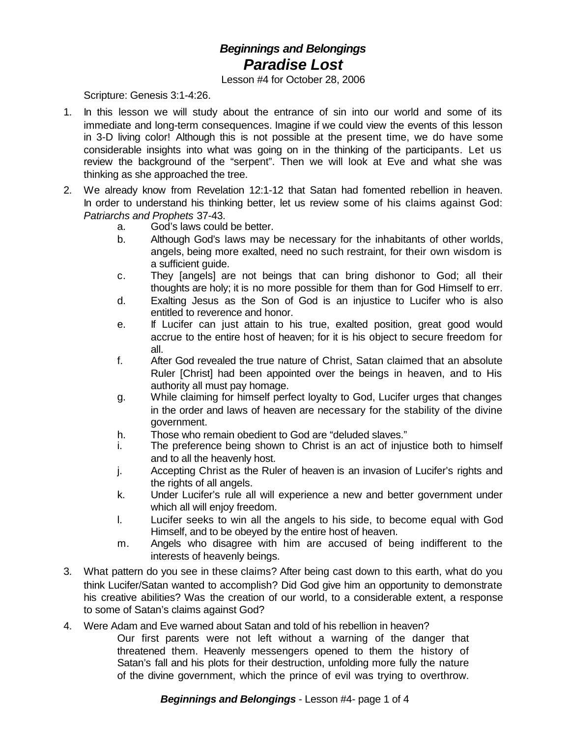## *Beginnings and Belongings Paradise Lost*

Lesson #4 for October 28, 2006

Scripture: Genesis 3:1-4:26.

- 1. In this lesson we will study about the entrance of sin into our world and some of its immediate and long-term consequences. Imagine if we could view the events of this lesson in 3-D living color! Although this is not possible at the present time, we do have some considerable insights into what was going on in the thinking of the participants. Let us review the background of the "serpent". Then we will look at Eve and what she was thinking as she approached the tree.
- 2. We already know from Revelation 12:1-12 that Satan had fomented rebellion in heaven. In order to understand his thinking better, let us review some of his claims against God: *Patriarchs and Prophets* 37-43.
	- a. God's laws could be better.
	- b. Although God's laws may be necessary for the inhabitants of other worlds, angels, being more exalted, need no such restraint, for their own wisdom is a sufficient guide.
	- c. They [angels] are not beings that can bring dishonor to God; all their thoughts are holy; it is no more possible for them than for God Himself to err.
	- d. Exalting Jesus as the Son of God is an injustice to Lucifer who is also entitled to reverence and honor.
	- e. If Lucifer can just attain to his true, exalted position, great good would accrue to the entire host of heaven; for it is his object to secure freedom for all.
	- f. After God revealed the true nature of Christ, Satan claimed that an absolute Ruler [Christ] had been appointed over the beings in heaven, and to His authority all must pay homage.
	- g. While claiming for himself perfect loyalty to God, Lucifer urges that changes in the order and laws of heaven are necessary for the stability of the divine government.
	- h. Those who remain obedient to God are "deluded slaves."
	- i. The preference being shown to Christ is an act of injustice both to himself and to all the heavenly host.
	- j. Accepting Christ as the Ruler of heaven is an invasion of Lucifer's rights and the rights of all angels.
	- k. Under Lucifer's rule all will experience a new and better government under which all will enjoy freedom.
	- l. Lucifer seeks to win all the angels to his side, to become equal with God Himself, and to be obeyed by the entire host of heaven.
	- m. Angels who disagree with him are accused of being indifferent to the interests of heavenly beings.
- 3. What pattern do you see in these claims? After being cast down to this earth, what do you think Lucifer/Satan wanted to accomplish? Did God give him an opportunity to demonstrate his creative abilities? Was the creation of our world, to a considerable extent, a response to some of Satan's claims against God?
- 4. Were Adam and Eve warned about Satan and told of his rebellion in heaven? Our first parents were not left without a warning of the danger that threatened them. Heavenly messengers opened to them the history of Satan's fall and his plots for their destruction, unfolding more fully the nature of the divine government, which the prince of evil was trying to overthrow.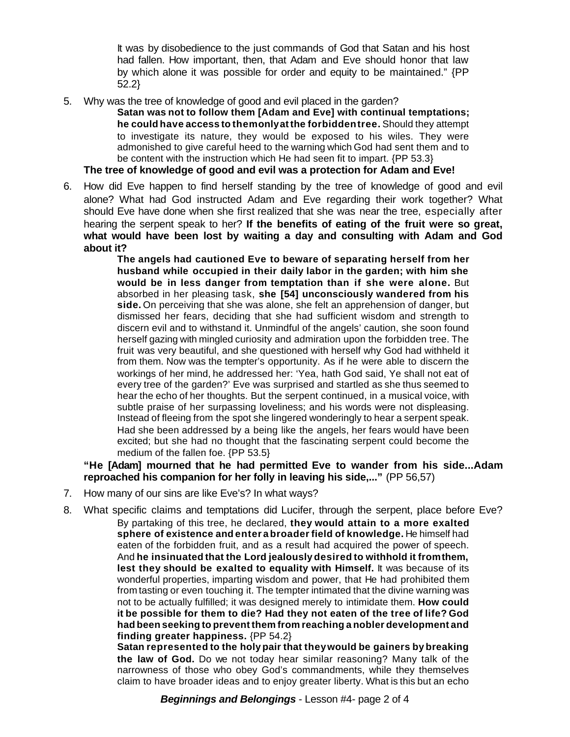It was by disobedience to the just commands of God that Satan and his host had fallen. How important, then, that Adam and Eve should honor that law by which alone it was possible for order and equity to be maintained." {PP 52.2}

5. Why was the tree of knowledge of good and evil placed in the garden?

**Satan was not to follow them [Adam and Eve] with continual temptations; he could have access to themonlyatthe forbiddentree.** Should they attempt to investigate its nature, they would be exposed to his wiles. They were admonished to give careful heed to the warning which God had sent them and to be content with the instruction which He had seen fit to impart. {PP 53.3}

**The tree of knowledge of good and evil was a protection for Adam and Eve!**

6. How did Eve happen to find herself standing by the tree of knowledge of good and evil alone? What had God instructed Adam and Eve regarding their work together? What should Eve have done when she first realized that she was near the tree, especially after hearing the serpent speak to her? **If the benefits of eating of the fruit were so great, what would have been lost by waiting a day and consulting with Adam and God about it?**

**The angels had cautioned Eve to beware of separating herself from her husband while occupied in their daily labor in the garden; with him she would be in less danger from temptation than if she were alone.** But absorbed in her pleasing task, **she [54] unconsciously wandered from his side.** On perceiving that she was alone, she felt an apprehension of danger, but dismissed her fears, deciding that she had sufficient wisdom and strength to discern evil and to withstand it. Unmindful of the angels' caution, she soon found herself gazing with mingled curiosity and admiration upon the forbidden tree. The fruit was very beautiful, and she questioned with herself why God had withheld it from them. Now was the tempter's opportunity. As if he were able to discern the workings of her mind, he addressed her: 'Yea, hath God said, Ye shall not eat of every tree of the garden?' Eve was surprised and startled as she thus seemed to hear the echo of her thoughts. But the serpent continued, in a musical voice, with subtle praise of her surpassing loveliness; and his words were not displeasing. Instead of fleeing from the spot she lingered wonderingly to hear a serpent speak. Had she been addressed by a being like the angels, her fears would have been excited; but she had no thought that the fascinating serpent could become the medium of the fallen foe. {PP 53.5}

**"He [Adam] mourned that he had permitted Eve to wander from his side...Adam reproached his companion for her folly in leaving his side,..."** (PP 56,57)

- 7. How many of our sins are like Eve's? In what ways?
- 8. What specific claims and temptations did Lucifer, through the serpent, place before Eve? By partaking of this tree, he declared, **they would attain to a more exalted sphere of existence and enter a broaderfield of knowledge.** He himself had eaten of the forbidden fruit, and as a result had acquired the power of speech. And **he insinuated that the Lord jealously desired to withhold it fromthem, lest they should be exalted to equality with Himself.** It was because of its wonderful properties, imparting wisdom and power, that He had prohibited them from tasting or even touching it. The tempter intimated that the divine warning was not to be actually fulfilled; it was designed merely to intimidate them. **How could it be possible for them to die? Had they not eaten of the tree of life? God had been seeking to prevent them from reaching a nobler development and finding greater happiness.** {PP 54.2}

**Satan represented to the holy pair that theywould be gainers by breaking the law of God.** Do we not today hear similar reasoning? Many talk of the narrowness of those who obey God's commandments, while they themselves claim to have broader ideas and to enjoy greater liberty. What is this but an echo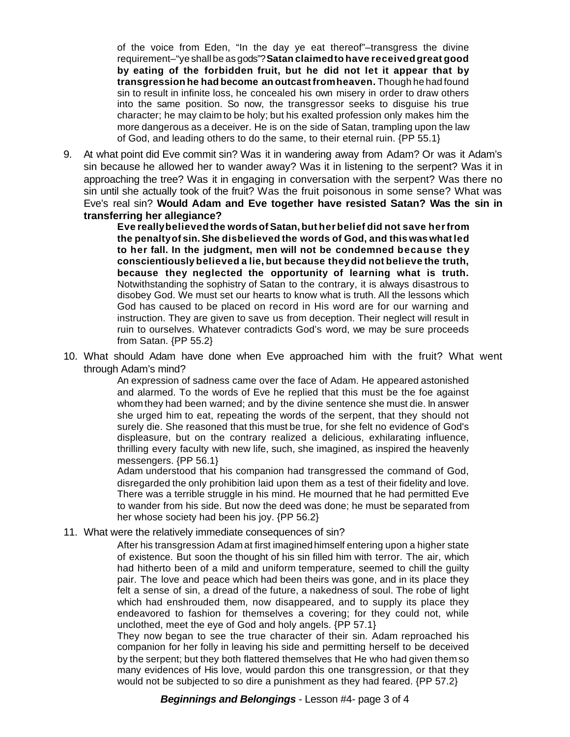of the voice from Eden, "In the day ye eat thereof"–transgress the divine requirement–"ye shall be as gods"? **Satan claimedto have receivedgreat good by eating of the forbidden fruit, but he did not let it appear that by transgression he had become an outcastfromheaven.** Though he had found sin to result in infinite loss, he concealed his own misery in order to draw others into the same position. So now, the transgressor seeks to disguise his true character; he may claim to be holy; but his exalted profession only makes him the more dangerous as a deceiver. He is on the side of Satan, trampling upon the law of God, and leading others to do the same, to their eternal ruin. {PP 55.1}

9. At what point did Eve commit sin? Was it in wandering away from Adam? Or was it Adam's sin because he allowed her to wander away? Was it in listening to the serpent? Was it in approaching the tree? Was it in engaging in conversation with the serpent? Was there no sin until she actually took of the fruit? Was the fruit poisonous in some sense? What was Eve's real sin? **Would Adam and Eve together have resisted Satan? Was the sin in transferring her allegiance?**

> **Eve reallybelievedthe words of Satan, but herbelief did not save herfrom the penaltyof sin.She disbelieved the words of God, and this was whatled to her fall. In the judgment, men will not be condemned because they conscientiously believed a lie, but because theydid not believe the truth, because they neglected the opportunity of learning what is truth.** Notwithstanding the sophistry of Satan to the contrary, it is always disastrous to disobey God. We must set our hearts to know what is truth. All the lessons which God has caused to be placed on record in His word are for our warning and instruction. They are given to save us from deception. Their neglect will result in ruin to ourselves. Whatever contradicts God's word, we may be sure proceeds from Satan. {PP 55.2}

10. What should Adam have done when Eve approached him with the fruit? What went through Adam's mind?

> An expression of sadness came over the face of Adam. He appeared astonished and alarmed. To the words of Eve he replied that this must be the foe against whomthey had been warned; and by the divine sentence she must die. In answer she urged him to eat, repeating the words of the serpent, that they should not surely die. She reasoned that this must be true, for she felt no evidence of God's displeasure, but on the contrary realized a delicious, exhilarating influence, thrilling every faculty with new life, such, she imagined, as inspired the heavenly messengers. {PP 56.1}

> Adam understood that his companion had transgressed the command of God, disregarded the only prohibition laid upon them as a test of their fidelity and love. There was a terrible struggle in his mind. He mourned that he had permitted Eve to wander from his side. But now the deed was done; he must be separated from her whose society had been his joy. {PP 56.2}

11. What were the relatively immediate consequences of sin?

After his transgression Adam at first imagined himself entering upon a higher state of existence. But soon the thought of his sin filled him with terror. The air, which had hitherto been of a mild and uniform temperature, seemed to chill the guilty pair. The love and peace which had been theirs was gone, and in its place they felt a sense of sin, a dread of the future, a nakedness of soul. The robe of light which had enshrouded them, now disappeared, and to supply its place they endeavored to fashion for themselves a covering; for they could not, while unclothed, meet the eye of God and holy angels. {PP 57.1}

They now began to see the true character of their sin. Adam reproached his companion for her folly in leaving his side and permitting herself to be deceived by the serpent; but they both flattered themselves that He who had given them so many evidences of His love, would pardon this one transgression, or that they would not be subjected to so dire a punishment as they had feared. {PP 57.2}